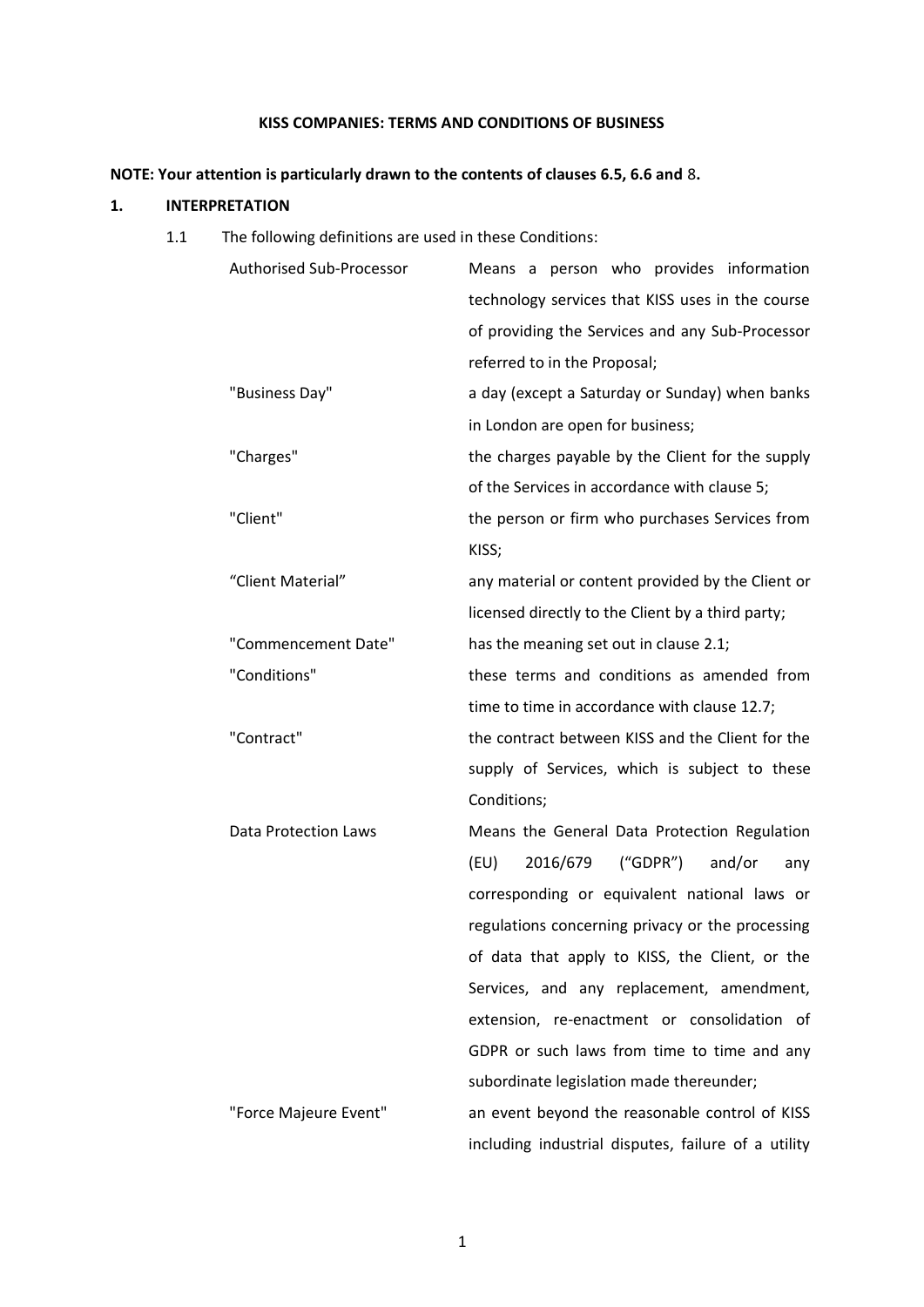# **KISS COMPANIES: TERMS AND CONDITIONS OF BUSINESS**

# **NOTE: Your attention is particularly drawn to the contents of clauses 6.5, 6.6 and** [8](#page-7-0)**.**

## **1. INTERPRETATION**

1.1 The following definitions are used in these Conditions:

| Authorised Sub-Processor    | Means a person who provides information             |
|-----------------------------|-----------------------------------------------------|
|                             | technology services that KISS uses in the course    |
|                             | of providing the Services and any Sub-Processor     |
|                             | referred to in the Proposal;                        |
| "Business Day"              | a day (except a Saturday or Sunday) when banks      |
|                             | in London are open for business;                    |
| "Charges"                   | the charges payable by the Client for the supply    |
|                             | of the Services in accordance with clause 5;        |
| "Client"                    | the person or firm who purchases Services from      |
|                             | KISS;                                               |
| "Client Material"           | any material or content provided by the Client or   |
|                             | licensed directly to the Client by a third party;   |
| "Commencement Date"         | has the meaning set out in clause 2.1;              |
| "Conditions"                | these terms and conditions as amended from          |
|                             | time to time in accordance with clause 12.7;        |
| "Contract"                  | the contract between KISS and the Client for the    |
|                             | supply of Services, which is subject to these       |
|                             | Conditions;                                         |
| <b>Data Protection Laws</b> | Means the General Data Protection Regulation        |
|                             | 2016/679<br>('GDPR")<br>and/or<br>(EU)<br>any       |
|                             | corresponding or equivalent national laws or        |
|                             | regulations concerning privacy or the processing    |
|                             | of data that apply to KISS, the Client, or the      |
|                             | Services, and any replacement, amendment,           |
|                             | extension, re-enactment or consolidation of         |
|                             | GDPR or such laws from time to time and any         |
|                             | subordinate legislation made thereunder;            |
| "Force Majeure Event"       | an event beyond the reasonable control of KISS      |
|                             | including industrial disputes, failure of a utility |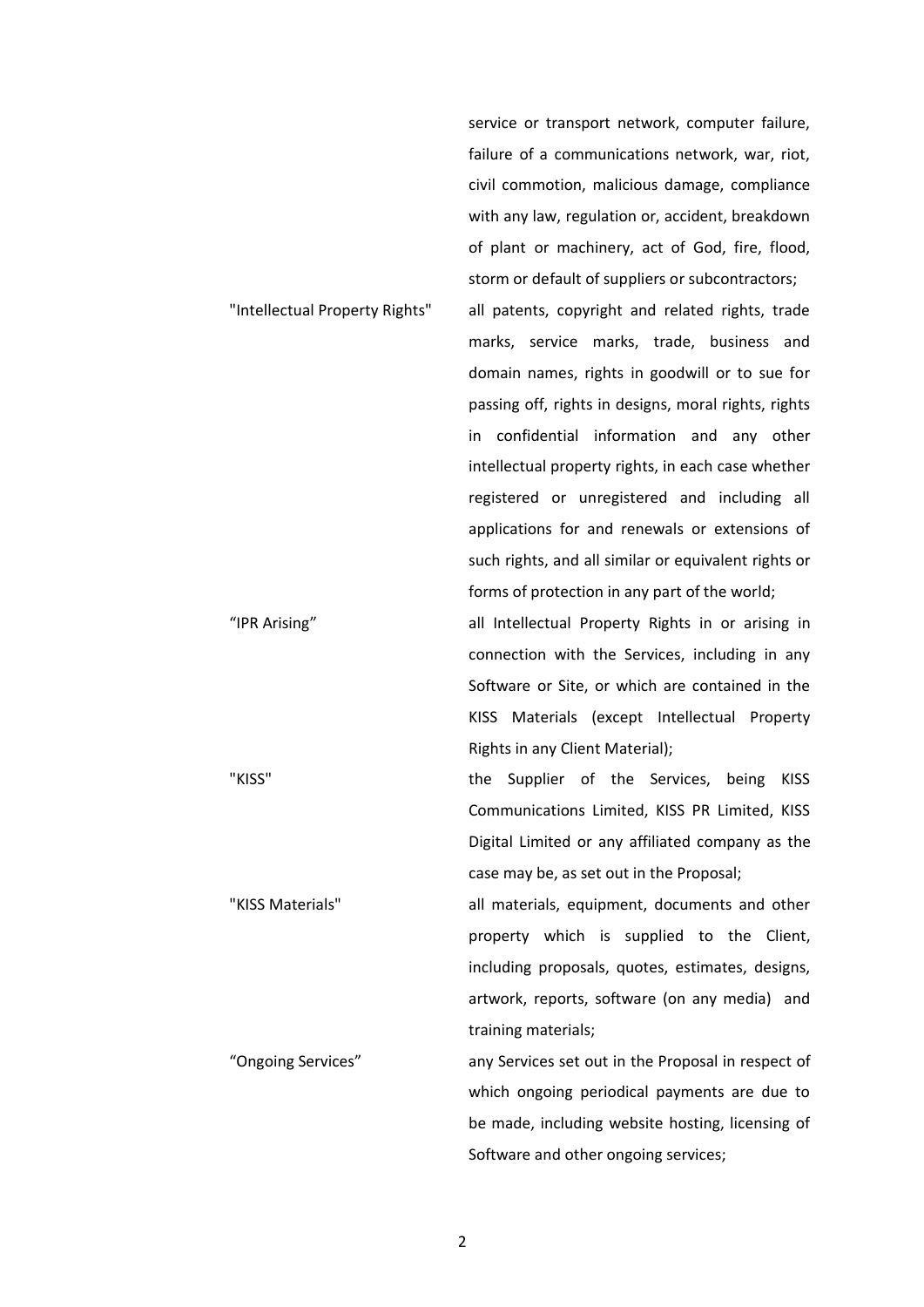service or transport network, computer failure, failure of a communications network, war, riot, civil commotion, malicious damage, compliance with any law, regulation or, accident, breakdown of plant or machinery, act of God, fire, flood, storm or default of suppliers or subcontractors; "Intellectual Property Rights" all patents, copyright and related rights, trade marks, service marks, trade, business and domain names, rights in goodwill or to sue for passing off, rights in designs, moral rights, rights in confidential information and any other intellectual property rights, in each case whether registered or unregistered and including all applications for and renewals or extensions of such rights, and all similar or equivalent rights or forms of protection in any part of the world; "IPR Arising" all Intellectual Property Rights in or arising in connection with the Services, including in any Software or Site, or which are contained in the KISS Materials (except Intellectual Property Rights in any Client Material); "KISS" the Supplier of the Services, being KISS Communications Limited, KISS PR Limited, KISS Digital Limited or any affiliated company as the

case may be, as set out in the Proposal;

Software and other ongoing services;

"KISS Materials" all materials, equipment, documents and other property which is supplied to the Client, including proposals, quotes, estimates, designs, artwork, reports, software (on any media) and training materials; "Ongoing Services" any Services set out in the Proposal in respect of which ongoing periodical payments are due to be made, including website hosting, licensing of

2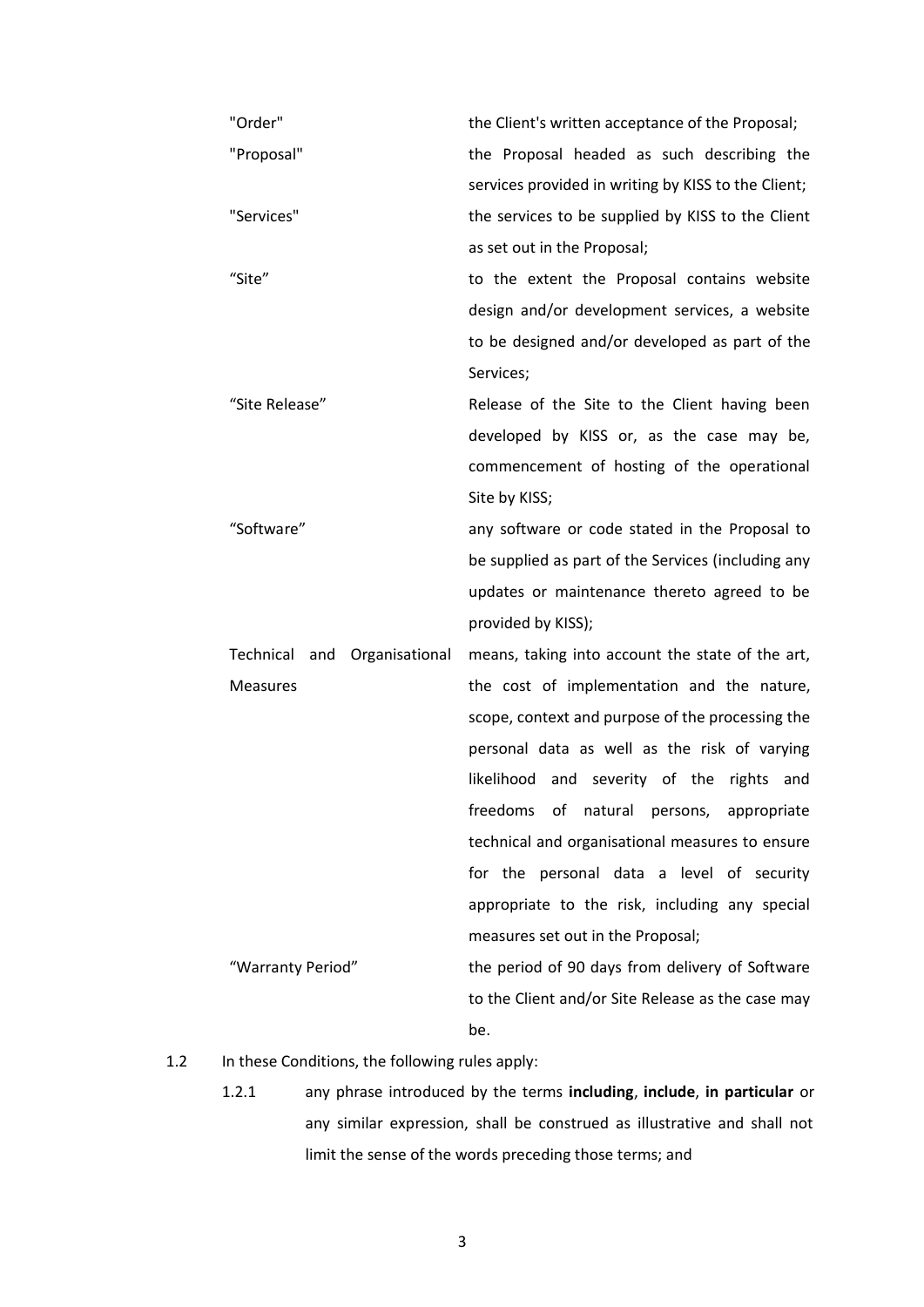| "Order"                         | the Client's written acceptance of the Proposal;    |
|---------------------------------|-----------------------------------------------------|
| "Proposal"                      | the Proposal headed as such describing the          |
|                                 | services provided in writing by KISS to the Client; |
| "Services"                      | the services to be supplied by KISS to the Client   |
|                                 | as set out in the Proposal;                         |
| "Site"                          | to the extent the Proposal contains website         |
|                                 | design and/or development services, a website       |
|                                 | to be designed and/or developed as part of the      |
|                                 | Services;                                           |
| "Site Release"                  | Release of the Site to the Client having been       |
|                                 | developed by KISS or, as the case may be,           |
|                                 | commencement of hosting of the operational          |
|                                 | Site by KISS;                                       |
| "Software"                      | any software or code stated in the Proposal to      |
|                                 | be supplied as part of the Services (including any  |
|                                 | updates or maintenance thereto agreed to be         |
|                                 | provided by KISS);                                  |
| and Organisational<br>Technical | means, taking into account the state of the art,    |
| <b>Measures</b>                 | the cost of implementation and the nature,          |
|                                 | scope, context and purpose of the processing the    |
|                                 | personal data as well as the risk of varying        |
|                                 | likelihood and severity of the rights and           |
|                                 | of natural persons, appropriate<br>freedoms         |
|                                 | technical and organisational measures to ensure     |
|                                 | for the personal data a level of security           |
|                                 | appropriate to the risk, including any special      |
|                                 | measures set out in the Proposal;                   |
| "Warranty Period"               | the period of 90 days from delivery of Software     |
|                                 | to the Client and/or Site Release as the case may   |
|                                 | be.                                                 |

# 1.2 In these Conditions, the following rules apply:

1.2.1 any phrase introduced by the terms **including**, **include**, **in particular** or any similar expression, shall be construed as illustrative and shall not limit the sense of the words preceding those terms; and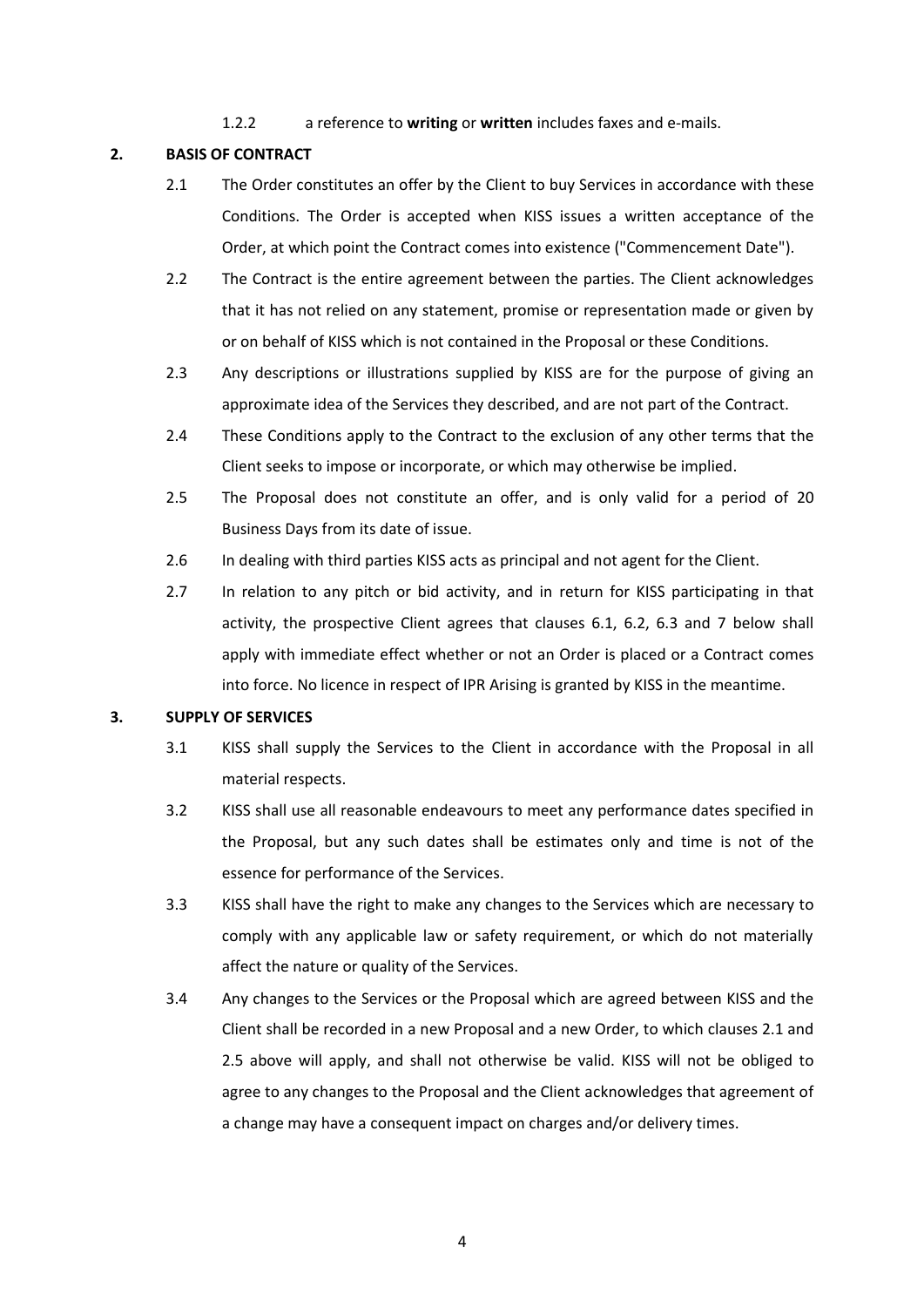<span id="page-3-0"></span>1.2.2 a reference to **writing** or **written** includes faxes and e-mails.

# **2. BASIS OF CONTRACT**

- 2.1 The Order constitutes an offer by the Client to buy Services in accordance with these Conditions. The Order is accepted when KISS issues a written acceptance of the Order, at which point the Contract comes into existence ("Commencement Date").
- 2.2 The Contract is the entire agreement between the parties. The Client acknowledges that it has not relied on any statement, promise or representation made or given by or on behalf of KISS which is not contained in the Proposal or these Conditions.
- 2.3 Any descriptions or illustrations supplied by KISS are for the purpose of giving an approximate idea of the Services they described, and are not part of the Contract.
- 2.4 These Conditions apply to the Contract to the exclusion of any other terms that the Client seeks to impose or incorporate, or which may otherwise be implied.
- 2.5 The Proposal does not constitute an offer, and is only valid for a period of 20 Business Days from its date of issue.
- 2.6 In dealing with third parties KISS acts as principal and not agent for the Client.
- 2.7 In relation to any pitch or bid activity, and in return for KISS participating in that activity, the prospective Client agrees that clauses 6.1, 6.2, 6.3 and 7 below shall apply with immediate effect whether or not an Order is placed or a Contract comes into force. No licence in respect of IPR Arising is granted by KISS in the meantime.

## **3. SUPPLY OF SERVICES**

- 3.1 KISS shall supply the Services to the Client in accordance with the Proposal in all material respects.
- 3.2 KISS shall use all reasonable endeavours to meet any performance dates specified in the Proposal, but any such dates shall be estimates only and time is not of the essence for performance of the Services.
- 3.3 KISS shall have the right to make any changes to the Services which are necessary to comply with any applicable law or safety requirement, or which do not materially affect the nature or quality of the Services.
- <span id="page-3-1"></span>3.4 Any changes to the Services or the Proposal which are agreed between KISS and the Client shall be recorded in a new Proposal and a new Order, to which clauses 2.1 and 2.5 above will apply, and shall not otherwise be valid. KISS will not be obliged to agree to any changes to the Proposal and the Client acknowledges that agreement of a change may have a consequent impact on charges and/or delivery times.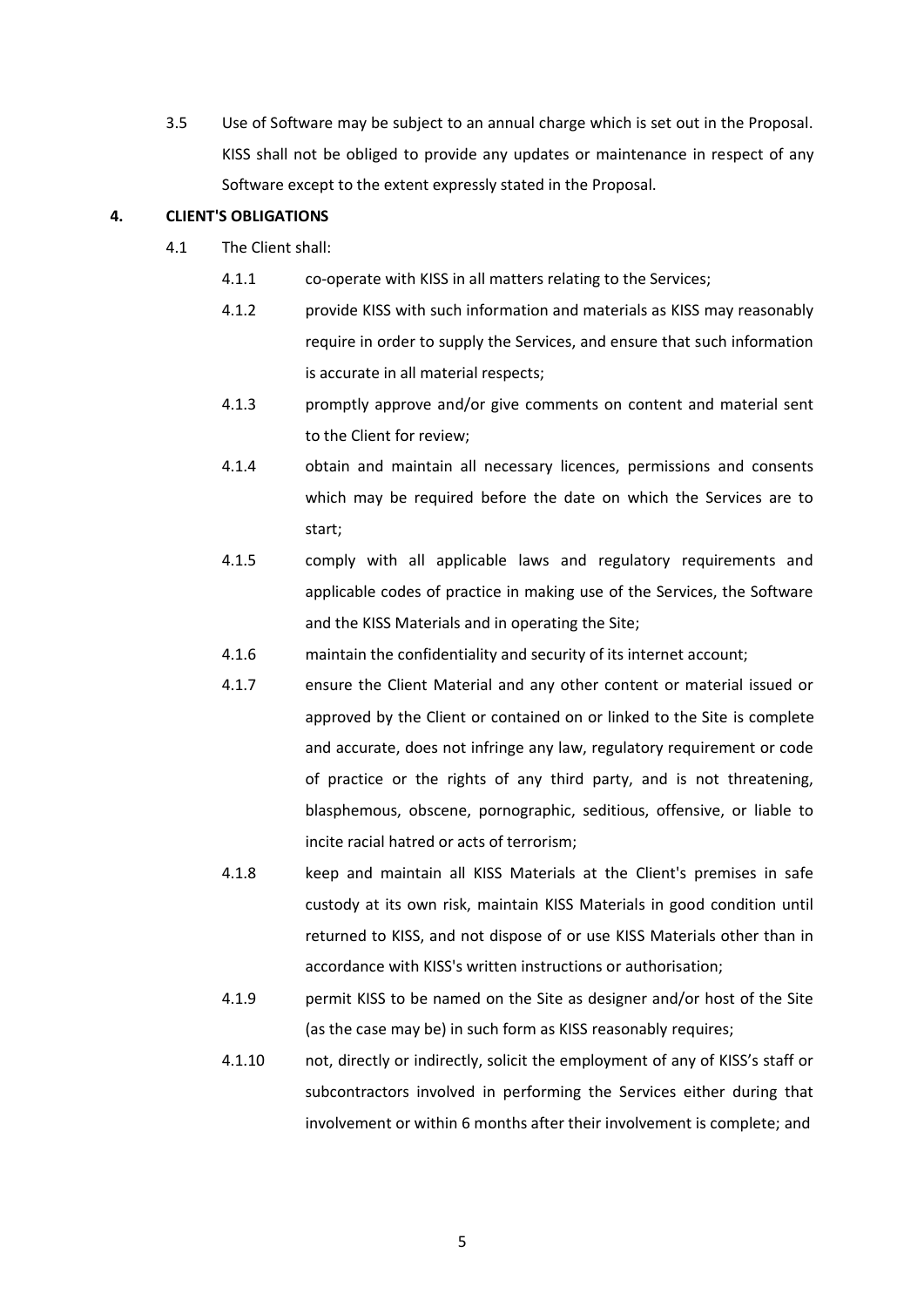3.5 Use of Software may be subject to an annual charge which is set out in the Proposal. KISS shall not be obliged to provide any updates or maintenance in respect of any Software except to the extent expressly stated in the Proposal.

## **4. CLIENT'S OBLIGATIONS**

- 4.1 The Client shall:
	- 4.1.1 co-operate with KISS in all matters relating to the Services;
	- 4.1.2 provide KISS with such information and materials as KISS may reasonably require in order to supply the Services, and ensure that such information is accurate in all material respects;
	- 4.1.3 promptly approve and/or give comments on content and material sent to the Client for review;
	- 4.1.4 obtain and maintain all necessary licences, permissions and consents which may be required before the date on which the Services are to start;
	- 4.1.5 comply with all applicable laws and regulatory requirements and applicable codes of practice in making use of the Services, the Software and the KISS Materials and in operating the Site;
	- 4.1.6 maintain the confidentiality and security of its internet account;
	- 4.1.7 ensure the Client Material and any other content or material issued or approved by the Client or contained on or linked to the Site is complete and accurate, does not infringe any law, regulatory requirement or code of practice or the rights of any third party, and is not threatening, blasphemous, obscene, pornographic, seditious, offensive, or liable to incite racial hatred or acts of terrorism;
	- 4.1.8 keep and maintain all KISS Materials at the Client's premises in safe custody at its own risk, maintain KISS Materials in good condition until returned to KISS, and not dispose of or use KISS Materials other than in accordance with KISS's written instructions or authorisation;
	- 4.1.9 permit KISS to be named on the Site as designer and/or host of the Site (as the case may be) in such form as KISS reasonably requires;
	- 4.1.10 not, directly or indirectly, solicit the employment of any of KISS's staff or subcontractors involved in performing the Services either during that involvement or within 6 months after their involvement is complete; and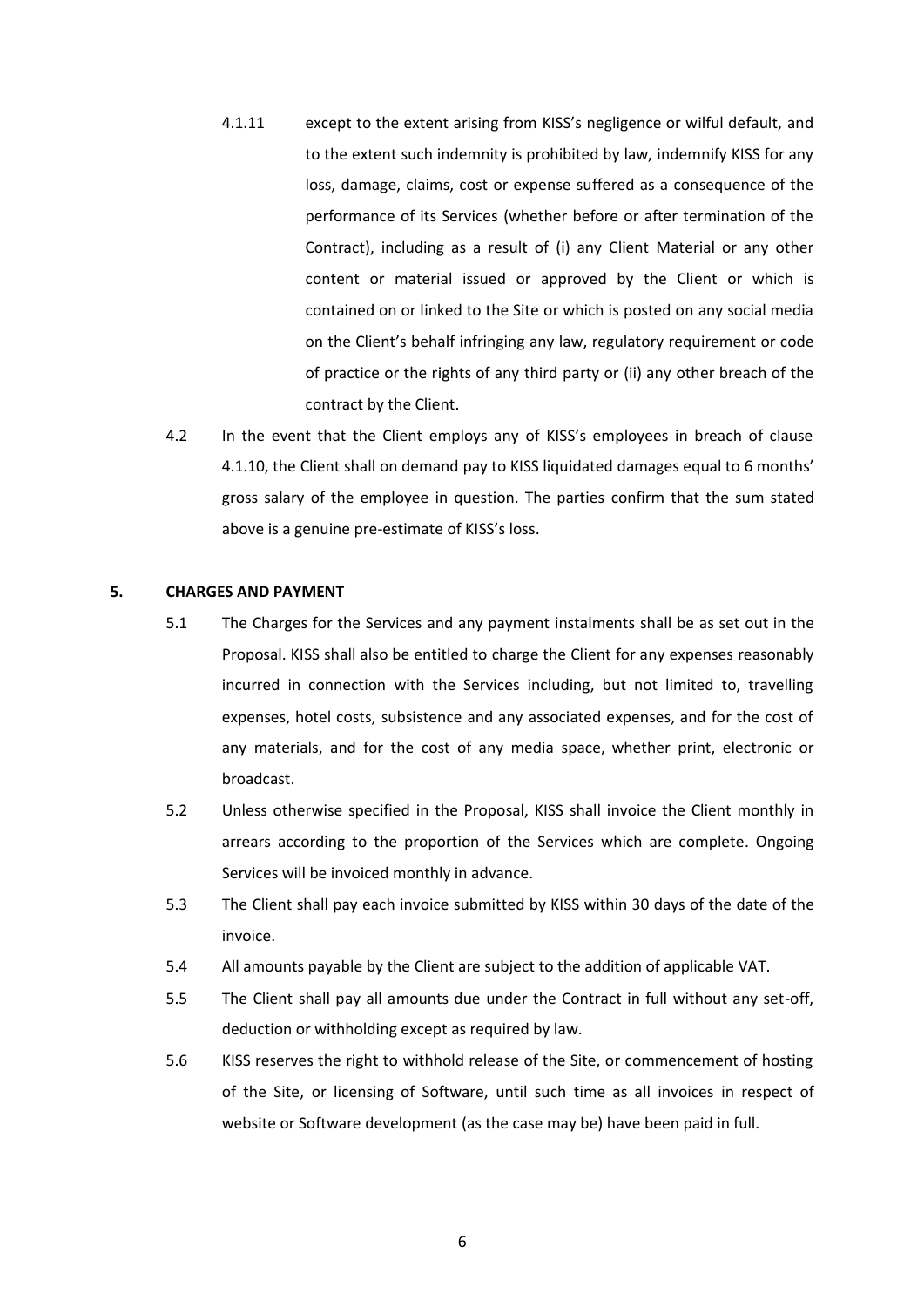- 4.1.11 except to the extent arising from KISS's negligence or wilful default, and to the extent such indemnity is prohibited by law, indemnify KISS for any loss, damage, claims, cost or expense suffered as a consequence of the performance of its Services (whether before or after termination of the Contract), including as a result of (i) any Client Material or any other content or material issued or approved by the Client or which is contained on or linked to the Site or which is posted on any social media on the Client's behalf infringing any law, regulatory requirement or code of practice or the rights of any third party or (ii) any other breach of the contract by the Client.
- 4.2 In the event that the Client employs any of KISS's employees in breach of clause 4.1.10, the Client shall on demand pay to KISS liquidated damages equal to 6 months' gross salary of the employee in question. The parties confirm that the sum stated above is a genuine pre-estimate of KISS's loss.

### <span id="page-5-0"></span>**5. CHARGES AND PAYMENT**

- 5.1 The Charges for the Services and any payment instalments shall be as set out in the Proposal. KISS shall also be entitled to charge the Client for any expenses reasonably incurred in connection with the Services including, but not limited to, travelling expenses, hotel costs, subsistence and any associated expenses, and for the cost of any materials, and for the cost of any media space, whether print, electronic or broadcast.
- 5.2 Unless otherwise specified in the Proposal, KISS shall invoice the Client monthly in arrears according to the proportion of the Services which are complete. Ongoing Services will be invoiced monthly in advance.
- 5.3 The Client shall pay each invoice submitted by KISS within 30 days of the date of the invoice.
- 5.4 All amounts payable by the Client are subject to the addition of applicable VAT.
- 5.5 The Client shall pay all amounts due under the Contract in full without any set-off, deduction or withholding except as required by law.
- 5.6 KISS reserves the right to withhold release of the Site, or commencement of hosting of the Site, or licensing of Software, until such time as all invoices in respect of website or Software development (as the case may be) have been paid in full.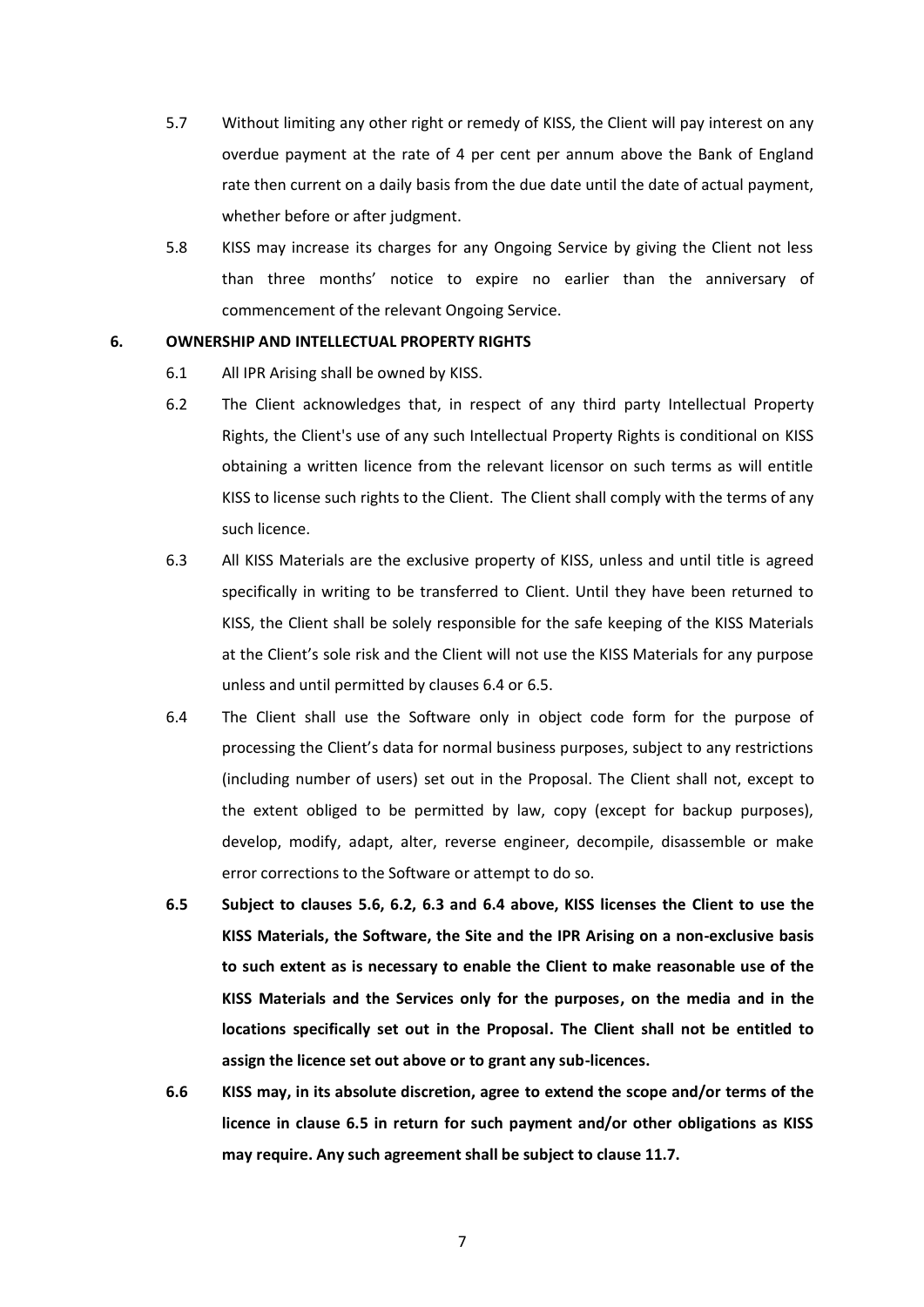- 5.7 Without limiting any other right or remedy of KISS, the Client will pay interest on any overdue payment at the rate of 4 per cent per annum above the Bank of England rate then current on a daily basis from the due date until the date of actual payment, whether before or after judgment.
- 5.8 KISS may increase its charges for any Ongoing Service by giving the Client not less than three months' notice to expire no earlier than the anniversary of commencement of the relevant Ongoing Service.

#### **6. OWNERSHIP AND INTELLECTUAL PROPERTY RIGHTS**

- 6.1 All IPR Arising shall be owned by KISS.
- 6.2 The Client acknowledges that, in respect of any third party Intellectual Property Rights, the Client's use of any such Intellectual Property Rights is conditional on KISS obtaining a written licence from the relevant licensor on such terms as will entitle KISS to license such rights to the Client. The Client shall comply with the terms of any such licence.
- 6.3 All KISS Materials are the exclusive property of KISS, unless and until title is agreed specifically in writing to be transferred to Client. Until they have been returned to KISS, the Client shall be solely responsible for the safe keeping of the KISS Materials at the Client's sole risk and the Client will not use the KISS Materials for any purpose unless and until permitted by clauses 6.4 or 6.5.
- 6.4 The Client shall use the Software only in object code form for the purpose of processing the Client's data for normal business purposes, subject to any restrictions (including number of users) set out in the Proposal. The Client shall not, except to the extent obliged to be permitted by law, copy (except for backup purposes), develop, modify, adapt, alter, reverse engineer, decompile, disassemble or make error corrections to the Software or attempt to do so.
- **6.5 Subject to clauses 5.6, 6.2, 6.3 and 6.4 above, KISS licenses the Client to use the KISS Materials, the Software, the Site and the IPR Arising on a non-exclusive basis to such extent as is necessary to enable the Client to make reasonable use of the KISS Materials and the Services only for the purposes, on the media and in the locations specifically set out in the Proposal. The Client shall not be entitled to assign the licence set out above or to grant any sub-licences.**
- **6.6 KISS may, in its absolute discretion, agree to extend the scope and/or terms of the licence in clause 6.5 in return for such payment and/or other obligations as KISS may require. Any such agreement shall be subject to clause 11.7.**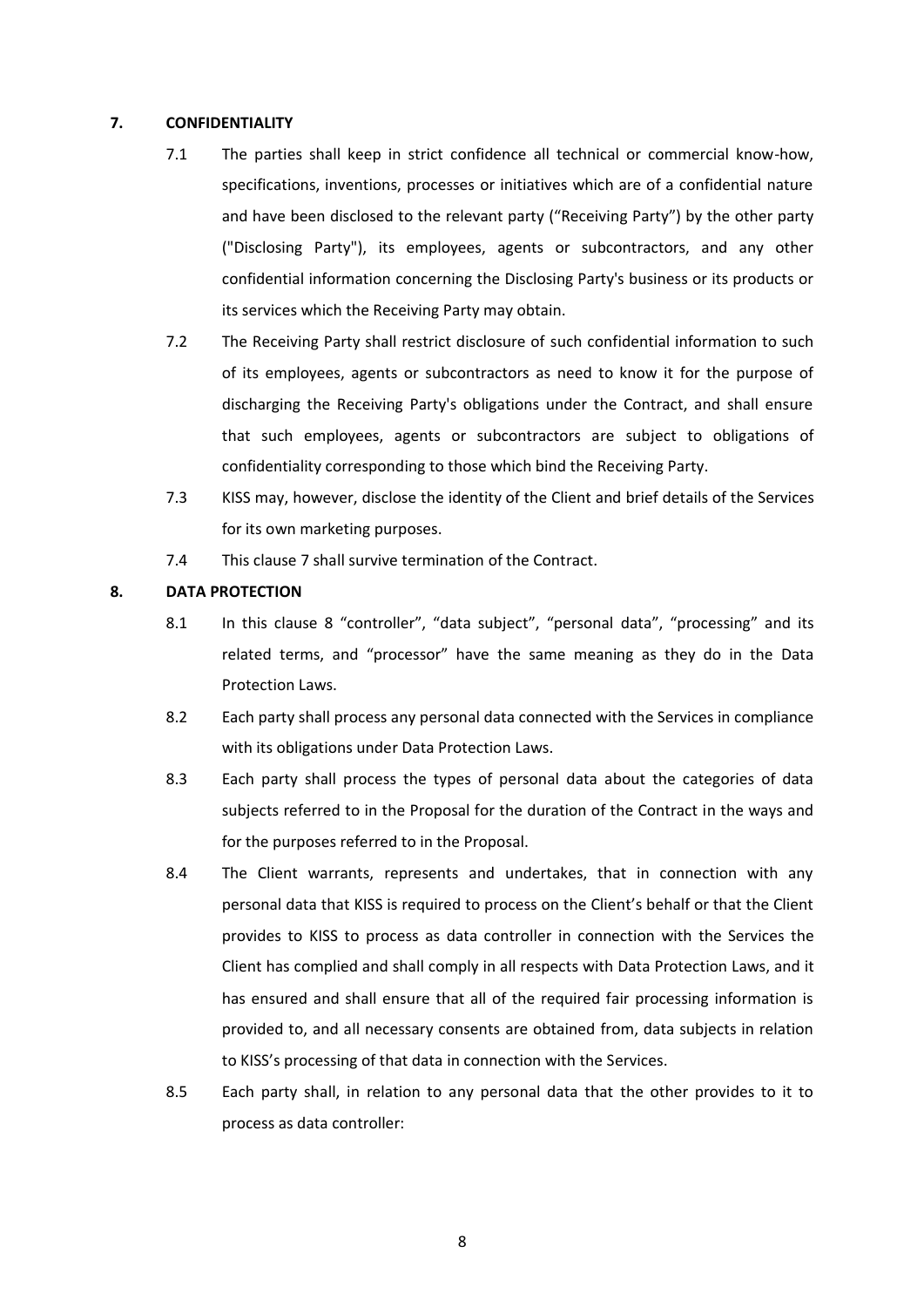### <span id="page-7-1"></span>**7. CONFIDENTIALITY**

- 7.1 The parties shall keep in strict confidence all technical or commercial know-how, specifications, inventions, processes or initiatives which are of a confidential nature and have been disclosed to the relevant party ("Receiving Party") by the other party ("Disclosing Party"), its employees, agents or subcontractors, and any other confidential information concerning the Disclosing Party's business or its products or its services which the Receiving Party may obtain.
- 7.2 The Receiving Party shall restrict disclosure of such confidential information to such of its employees, agents or subcontractors as need to know it for the purpose of discharging the Receiving Party's obligations under the Contract, and shall ensure that such employees, agents or subcontractors are subject to obligations of confidentiality corresponding to those which bind the Receiving Party.
- 7.3 KISS may, however, disclose the identity of the Client and brief details of the Services for its own marketing purposes.
- 7.4 This clause [7](#page-7-1) shall survive termination of the Contract.

## <span id="page-7-0"></span>**8. DATA PROTECTION**

- 8.1 In this clause [8](#page-7-0) "controller", "data subject", "personal data", "processing" and its related terms, and "processor" have the same meaning as they do in the Data Protection Laws.
- 8.2 Each party shall process any personal data connected with the Services in compliance with its obligations under Data Protection Laws.
- 8.3 Each party shall process the types of personal data about the categories of data subjects referred to in the Proposal for the duration of the Contract in the ways and for the purposes referred to in the Proposal.
- <span id="page-7-2"></span>8.4 The Client warrants, represents and undertakes, that in connection with any personal data that KISS is required to process on the Client's behalf or that the Client provides to KISS to process as data controller in connection with the Services the Client has complied and shall comply in all respects with Data Protection Laws, and it has ensured and shall ensure that all of the required fair processing information is provided to, and all necessary consents are obtained from, data subjects in relation to KISS's processing of that data in connection with the Services.
- 8.5 Each party shall, in relation to any personal data that the other provides to it to process as data controller: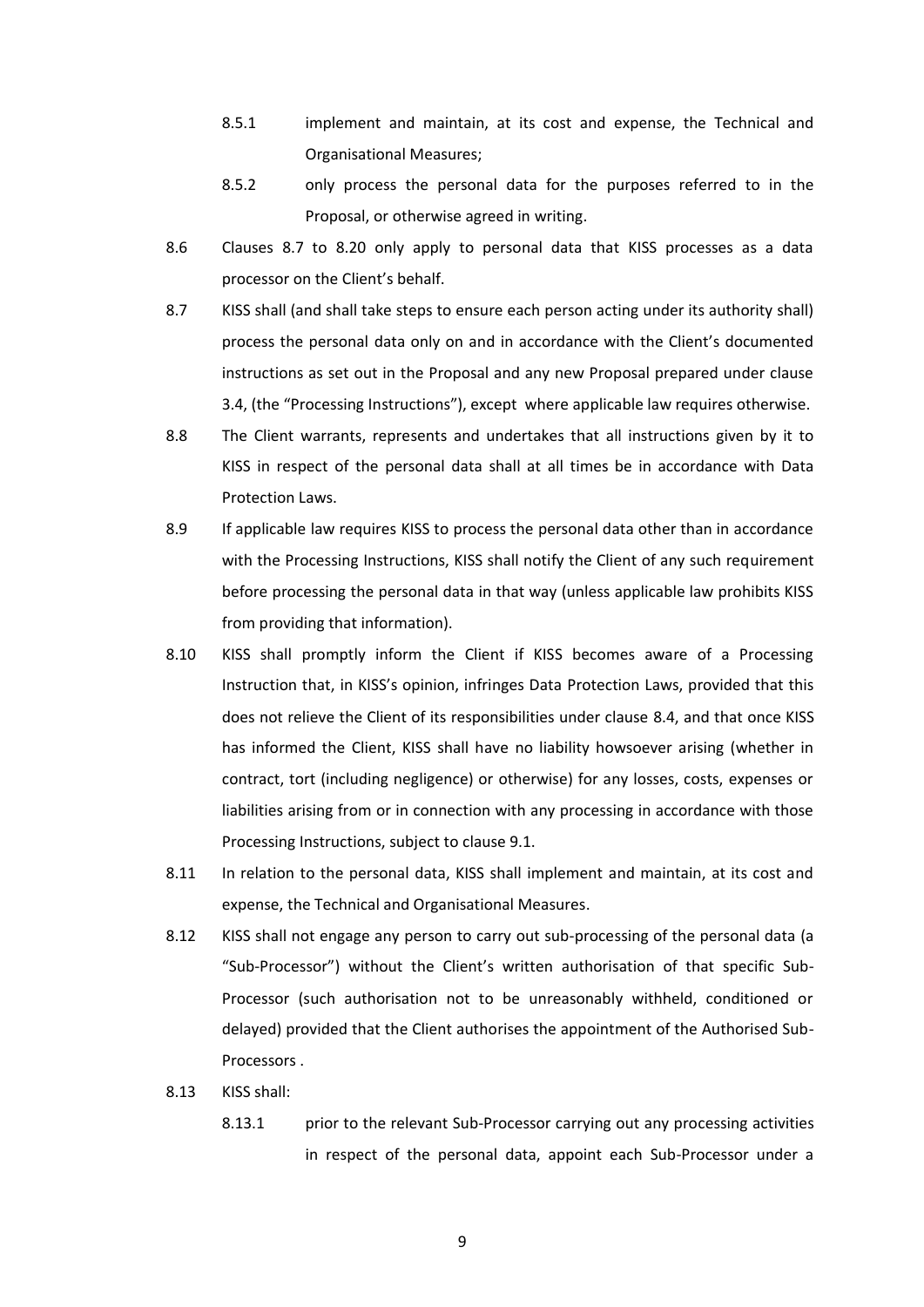- 8.5.1 implement and maintain, at its cost and expense, the Technical and Organisational Measures;
- 8.5.2 only process the personal data for the purposes referred to in the Proposal, or otherwise agreed in writing.
- 8.6 Clauses [8.7](#page-8-0) to [8.20](#page-10-0) only apply to personal data that KISS processes as a data processor on the Client's behalf.
- <span id="page-8-0"></span>8.7 KISS shall (and shall take steps to ensure each person acting under its authority shall) process the personal data only on and in accordance with the Client's documented instructions as set out in the Proposal and any new Proposal prepared under clause [3.4,](#page-3-1) (the "Processing Instructions"), except where applicable law requires otherwise.
- 8.8 The Client warrants, represents and undertakes that all instructions given by it to KISS in respect of the personal data shall at all times be in accordance with Data Protection Laws.
- 8.9 If applicable law requires KISS to process the personal data other than in accordance with the Processing Instructions, KISS shall notify the Client of any such requirement before processing the personal data in that way (unless applicable law prohibits KISS from providing that information).
- 8.10 KISS shall promptly inform the Client if KISS becomes aware of a Processing Instruction that, in KISS's opinion, infringes Data Protection Laws, provided that this does not relieve the Client of its responsibilities under clause [8.4,](#page-7-2) and that once KISS has informed the Client, KISS shall have no liability howsoever arising (whether in contract, tort (including negligence) or otherwise) for any losses, costs, expenses or liabilities arising from or in connection with any processing in accordance with those Processing Instructions, subject to clause 9.1.
- 8.11 In relation to the personal data, KISS shall implement and maintain, at its cost and expense, the Technical and Organisational Measures.
- 8.12 KISS shall not engage any person to carry out sub-processing of the personal data (a "Sub-Processor") without the Client's written authorisation of that specific Sub-Processor (such authorisation not to be unreasonably withheld, conditioned or delayed) provided that the Client authorises the appointment of the Authorised Sub-Processors .
- 8.13 KISS shall:
	- 8.13.1 prior to the relevant Sub-Processor carrying out any processing activities in respect of the personal data, appoint each Sub-Processor under a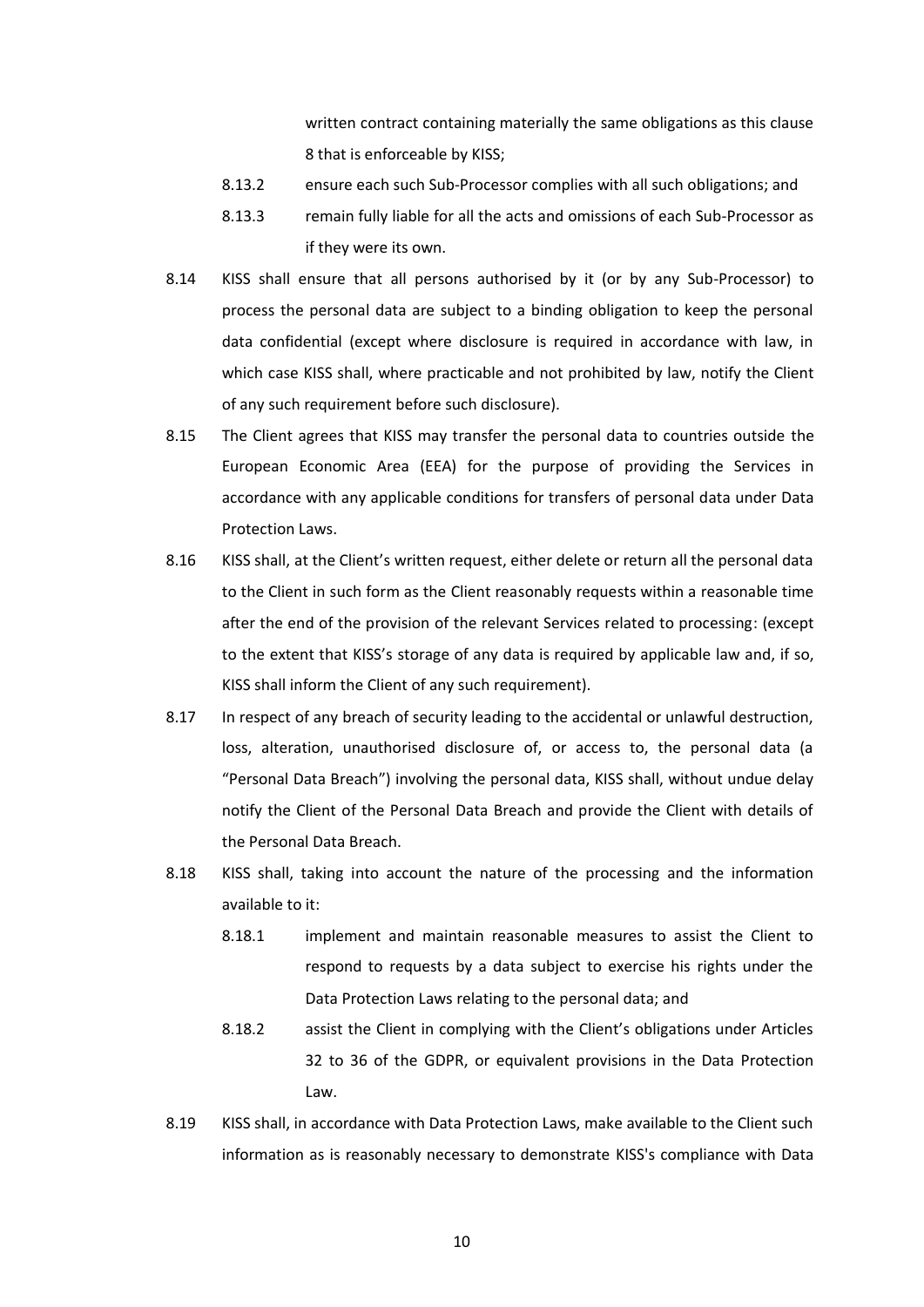written contract containing materially the same obligations as this clause [8](#page-7-0) that is enforceable by KISS;

- 8.13.2 ensure each such Sub-Processor complies with all such obligations; and
- 8.13.3 remain fully liable for all the acts and omissions of each Sub-Processor as if they were its own.
- 8.14 KISS shall ensure that all persons authorised by it (or by any Sub-Processor) to process the personal data are subject to a binding obligation to keep the personal data confidential (except where disclosure is required in accordance with law, in which case KISS shall, where practicable and not prohibited by law, notify the Client of any such requirement before such disclosure).
- 8.15 The Client agrees that KISS may transfer the personal data to countries outside the European Economic Area (EEA) for the purpose of providing the Services in accordance with any applicable conditions for transfers of personal data under Data Protection Laws.
- 8.16 KISS shall, at the Client's written request, either delete or return all the personal data to the Client in such form as the Client reasonably requests within a reasonable time after the end of the provision of the relevant Services related to processing: (except to the extent that KISS's storage of any data is required by applicable law and, if so, KISS shall inform the Client of any such requirement).
- <span id="page-9-0"></span>8.17 In respect of any breach of security leading to the accidental or unlawful destruction, loss, alteration, unauthorised disclosure of, or access to, the personal data (a "Personal Data Breach") involving the personal data, KISS shall, without undue delay notify the Client of the Personal Data Breach and provide the Client with details of the Personal Data Breach.
- 8.18 KISS shall, taking into account the nature of the processing and the information available to it:
	- 8.18.1 implement and maintain reasonable measures to assist the Client to respond to requests by a data subject to exercise his rights under the Data Protection Laws relating to the personal data; and
	- 8.18.2 assist the Client in complying with the Client's obligations under Articles 32 to 36 of the GDPR, or equivalent provisions in the Data Protection Law.
- <span id="page-9-1"></span>8.19 KISS shall, in accordance with Data Protection Laws, make available to the Client such information as is reasonably necessary to demonstrate KISS's compliance with Data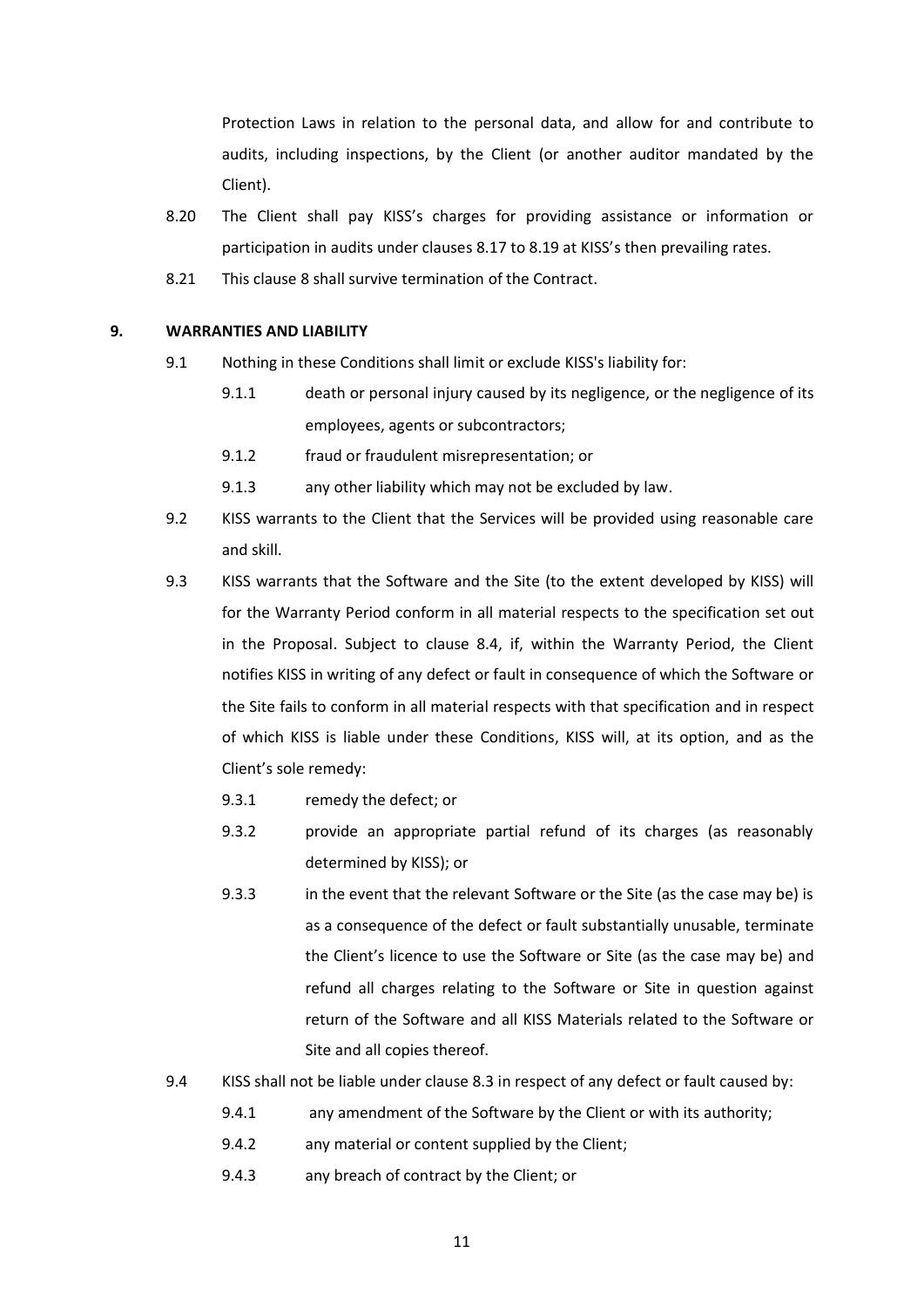Protection Laws in relation to the personal data, and allow for and contribute to audits, including inspections, by the Client (or another auditor mandated by the Client).

- <span id="page-10-0"></span>8.20 The Client shall pay KISS's charges for providing assistance or information or participation in audits under clauses [8.17](#page-9-0) to [8.19](#page-9-1) at KISS's then prevailing rates.
- 8.21 This clause [8](#page-7-0) shall survive termination of the Contract.

#### <span id="page-10-1"></span>**9. WARRANTIES AND LIABILITY**

- 9.1 Nothing in these Conditions shall limit or exclude KISS's liability for:
	- 9.1.1 death or personal injury caused by its negligence, or the negligence of its employees, agents or subcontractors;
	- 9.1.2 fraud or fraudulent misrepresentation; or
	- 9.1.3 any other liability which may not be excluded by law.
- 9.2 KISS warrants to the Client that the Services will be provided using reasonable care and skill.
- 9.3 KISS warrants that the Software and the Site (to the extent developed by KISS) will for the Warranty Period conform in all material respects to the specification set out in the Proposal. Subject to clause 8.4, if, within the Warranty Period, the Client notifies KISS in writing of any defect or fault in consequence of which the Software or the Site fails to conform in all material respects with that specification and in respect of which KISS is liable under these Conditions, KISS will, at its option, and as the Client's sole remedy:
	- 9.3.1 remedy the defect; or
	- 9.3.2 provide an appropriate partial refund of its charges (as reasonably determined by KISS); or
	- 9.3.3 in the event that the relevant Software or the Site (as the case may be) is as a consequence of the defect or fault substantially unusable, terminate the Client's licence to use the Software or Site (as the case may be) and refund all charges relating to the Software or Site in question against return of the Software and all KISS Materials related to the Software or Site and all copies thereof.
- 9.4 KISS shall not be liable under clause 8.3 in respect of any defect or fault caused by:
	- 9.4.1 any amendment of the Software by the Client or with its authority;
	- 9.4.2 any material or content supplied by the Client;
	- 9.4.3 any breach of contract by the Client; or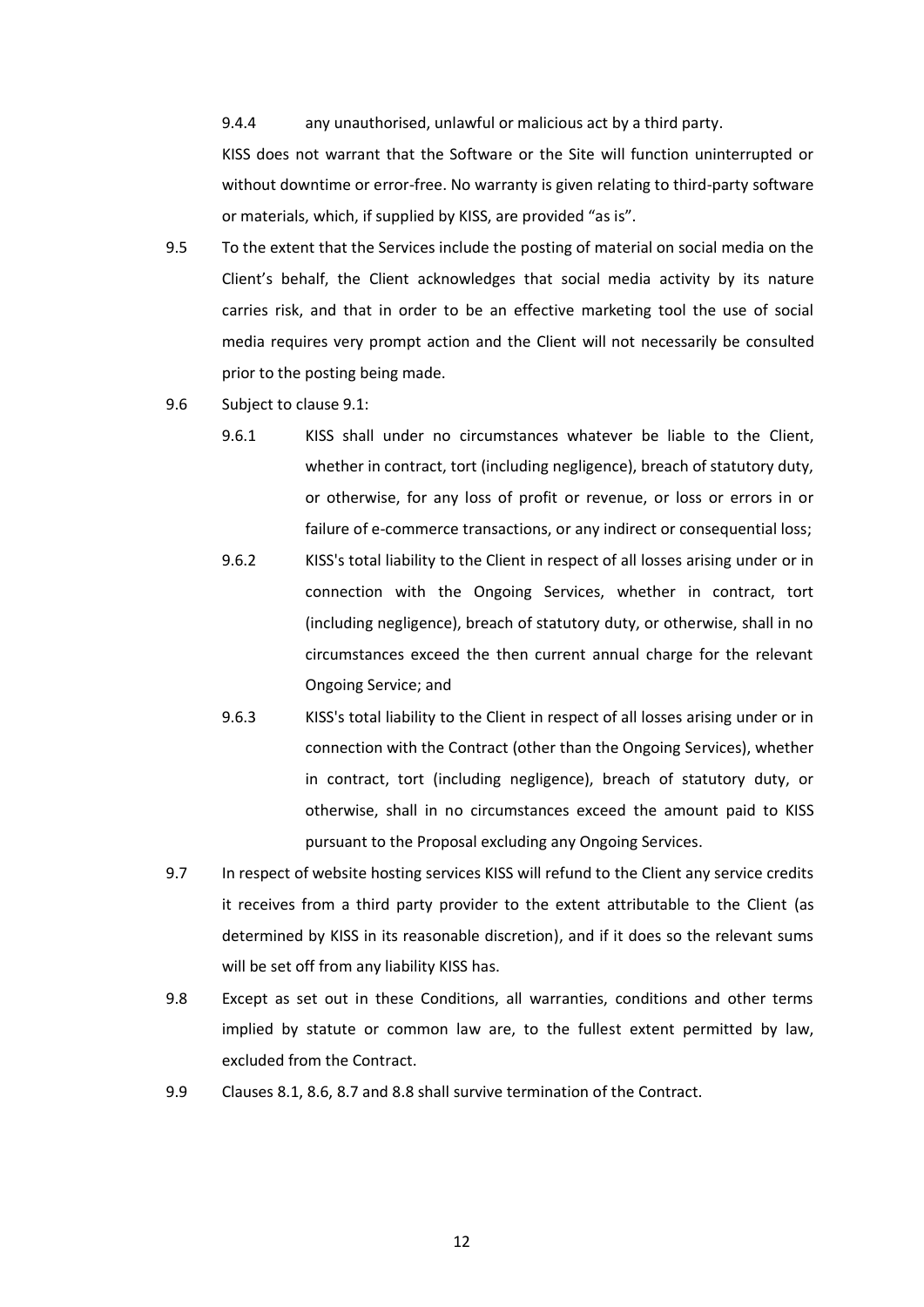9.4.4 any unauthorised, unlawful or malicious act by a third party.

KISS does not warrant that the Software or the Site will function uninterrupted or without downtime or error-free. No warranty is given relating to third-party software or materials, which, if supplied by KISS, are provided "as is".

- 9.5 To the extent that the Services include the posting of material on social media on the Client's behalf, the Client acknowledges that social media activity by its nature carries risk, and that in order to be an effective marketing tool the use of social media requires very prompt action and the Client will not necessarily be consulted prior to the posting being made.
- 9.6 Subject to clause [9.1:](#page-10-1)
	- 9.6.1 KISS shall under no circumstances whatever be liable to the Client, whether in contract, tort (including negligence), breach of statutory duty, or otherwise, for any loss of profit or revenue, or loss or errors in or failure of e-commerce transactions, or any indirect or consequential loss;
	- 9.6.2 KISS's total liability to the Client in respect of all losses arising under or in connection with the Ongoing Services, whether in contract, tort (including negligence), breach of statutory duty, or otherwise, shall in no circumstances exceed the then current annual charge for the relevant Ongoing Service; and
	- 9.6.3 KISS's total liability to the Client in respect of all losses arising under or in connection with the Contract (other than the Ongoing Services), whether in contract, tort (including negligence), breach of statutory duty, or otherwise, shall in no circumstances exceed the amount paid to KISS pursuant to the Proposal excluding any Ongoing Services.
- 9.7 In respect of website hosting services KISS will refund to the Client any service credits it receives from a third party provider to the extent attributable to the Client (as determined by KISS in its reasonable discretion), and if it does so the relevant sums will be set off from any liability KISS has.
- 9.8 Except as set out in these Conditions, all warranties, conditions and other terms implied by statute or common law are, to the fullest extent permitted by law, excluded from the Contract.
- 9.9 Clauses 8.1, 8.6, 8.7 and 8.8 shall survive termination of the Contract.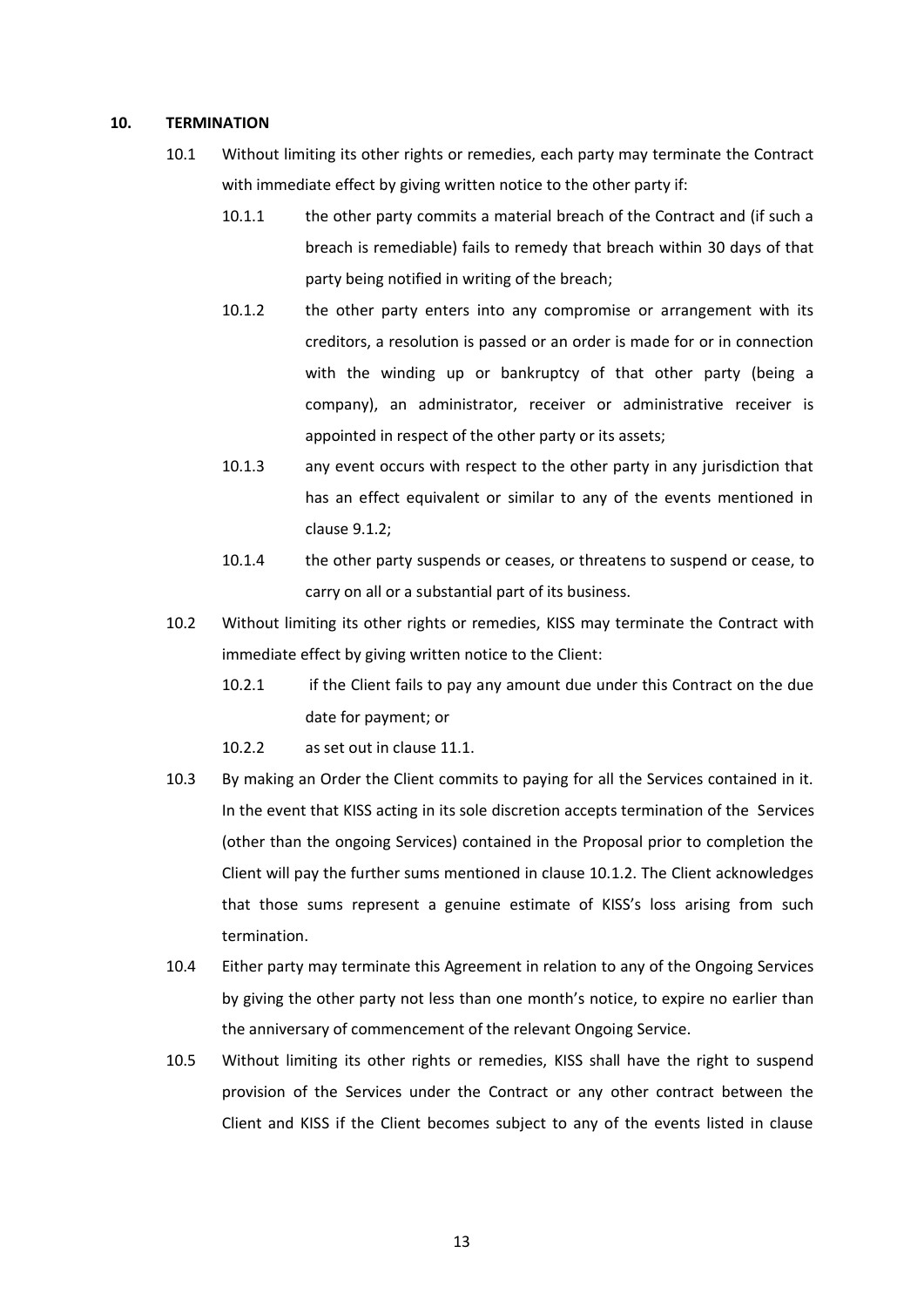#### **10. TERMINATION**

- 10.1 Without limiting its other rights or remedies, each party may terminate the Contract with immediate effect by giving written notice to the other party if:
	- 10.1.1 the other party commits a material breach of the Contract and (if such a breach is remediable) fails to remedy that breach within 30 days of that party being notified in writing of the breach;
	- 10.1.2 the other party enters into any compromise or arrangement with its creditors, a resolution is passed or an order is made for or in connection with the winding up or bankruptcy of that other party (being a company), an administrator, receiver or administrative receiver is appointed in respect of the other party or its assets;
	- 10.1.3 any event occurs with respect to the other party in any jurisdiction that has an effect equivalent or similar to any of the events mentioned in clause 9.1.2;
	- 10.1.4 the other party suspends or ceases, or threatens to suspend or cease, to carry on all or a substantial part of its business.
- 10.2 Without limiting its other rights or remedies, KISS may terminate the Contract with immediate effect by giving written notice to the Client:
	- 10.2.1 if the Client fails to pay any amount due under this Contract on the due date for payment; or
	- 10.2.2 as set out in clause 11.1.
- 10.3 By making an Order the Client commits to paying for all the Services contained in it. In the event that KISS acting in its sole discretion accepts termination of the Services (other than the ongoing Services) contained in the Proposal prior to completion the Client will pay the further sums mentioned in clause 10.1.2. The Client acknowledges that those sums represent a genuine estimate of KISS's loss arising from such termination.
- 10.4 Either party may terminate this Agreement in relation to any of the Ongoing Services by giving the other party not less than one month's notice, to expire no earlier than the anniversary of commencement of the relevant Ongoing Service.
- 10.5 Without limiting its other rights or remedies, KISS shall have the right to suspend provision of the Services under the Contract or any other contract between the Client and KISS if the Client becomes subject to any of the events listed in clause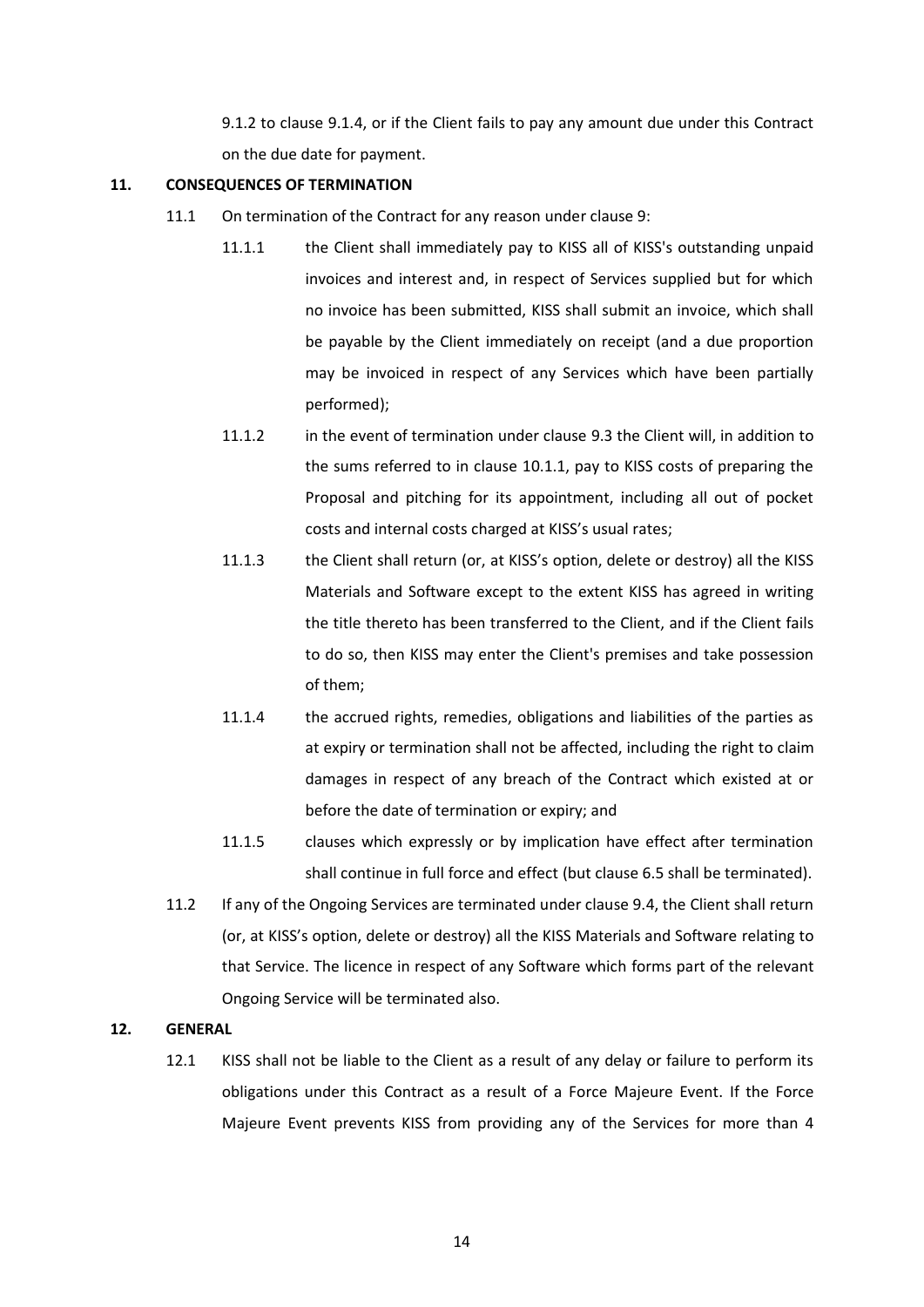9.1.2 to clause 9.1.4, or if the Client fails to pay any amount due under this Contract on the due date for payment.

#### **11. CONSEQUENCES OF TERMINATION**

- 11.1 On termination of the Contract for any reason under clause 9:
	- 11.1.1 the Client shall immediately pay to KISS all of KISS's outstanding unpaid invoices and interest and, in respect of Services supplied but for which no invoice has been submitted, KISS shall submit an invoice, which shall be payable by the Client immediately on receipt (and a due proportion may be invoiced in respect of any Services which have been partially performed);
	- 11.1.2 in the event of termination under clause 9.3 the Client will, in addition to the sums referred to in clause 10.1.1, pay to KISS costs of preparing the Proposal and pitching for its appointment, including all out of pocket costs and internal costs charged at KISS's usual rates;
	- 11.1.3 the Client shall return (or, at KISS's option, delete or destroy) all the KISS Materials and Software except to the extent KISS has agreed in writing the title thereto has been transferred to the Client, and if the Client fails to do so, then KISS may enter the Client's premises and take possession of them;
	- 11.1.4 the accrued rights, remedies, obligations and liabilities of the parties as at expiry or termination shall not be affected, including the right to claim damages in respect of any breach of the Contract which existed at or before the date of termination or expiry; and
	- 11.1.5 clauses which expressly or by implication have effect after termination shall continue in full force and effect (but clause 6.5 shall be terminated).
- 11.2 If any of the Ongoing Services are terminated under clause 9.4, the Client shall return (or, at KISS's option, delete or destroy) all the KISS Materials and Software relating to that Service. The licence in respect of any Software which forms part of the relevant Ongoing Service will be terminated also.

#### **12. GENERAL**

12.1 KISS shall not be liable to the Client as a result of any delay or failure to perform its obligations under this Contract as a result of a Force Majeure Event. If the Force Majeure Event prevents KISS from providing any of the Services for more than 4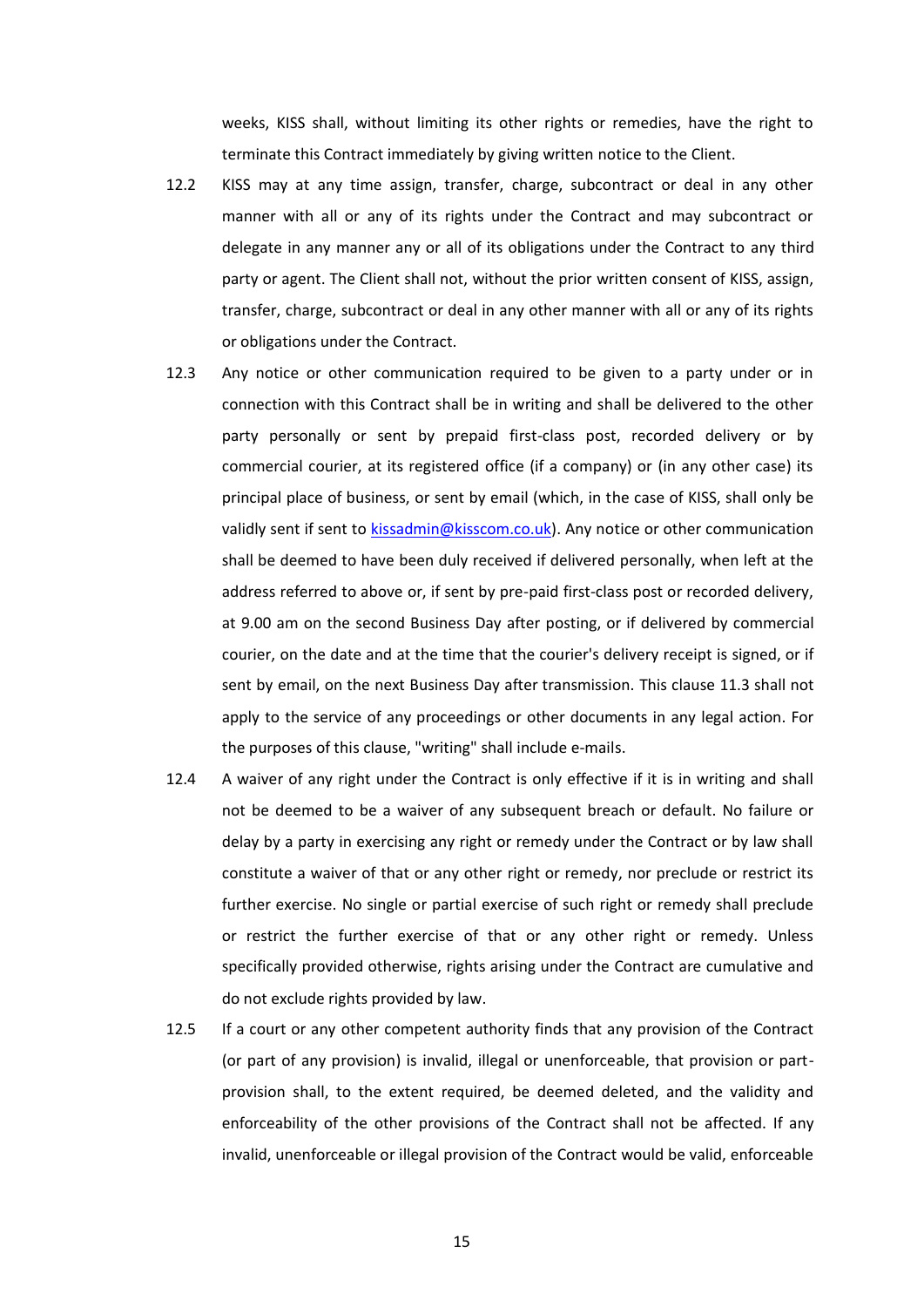weeks, KISS shall, without limiting its other rights or remedies, have the right to terminate this Contract immediately by giving written notice to the Client.

- 12.2 KISS may at any time assign, transfer, charge, subcontract or deal in any other manner with all or any of its rights under the Contract and may subcontract or delegate in any manner any or all of its obligations under the Contract to any third party or agent. The Client shall not, without the prior written consent of KISS, assign, transfer, charge, subcontract or deal in any other manner with all or any of its rights or obligations under the Contract.
- 12.3 Any notice or other communication required to be given to a party under or in connection with this Contract shall be in writing and shall be delivered to the other party personally or sent by prepaid first-class post, recorded delivery or by commercial courier, at its registered office (if a company) or (in any other case) its principal place of business, or sent by email (which, in the case of KISS, shall only be validly sent if sent to [kissadmin@kisscom.co.uk\)](mailto:kissadmin@kisscom.co.uk). Any notice or other communication shall be deemed to have been duly received if delivered personally, when left at the address referred to above or, if sent by pre-paid first-class post or recorded delivery, at 9.00 am on the second Business Day after posting, or if delivered by commercial courier, on the date and at the time that the courier's delivery receipt is signed, or if sent by email, on the next Business Day after transmission. This clause 11.3 shall not apply to the service of any proceedings or other documents in any legal action. For the purposes of this clause, "writing" shall include e-mails.
- 12.4 A waiver of any right under the Contract is only effective if it is in writing and shall not be deemed to be a waiver of any subsequent breach or default. No failure or delay by a party in exercising any right or remedy under the Contract or by law shall constitute a waiver of that or any other right or remedy, nor preclude or restrict its further exercise. No single or partial exercise of such right or remedy shall preclude or restrict the further exercise of that or any other right or remedy. Unless specifically provided otherwise, rights arising under the Contract are cumulative and do not exclude rights provided by law.
- 12.5 If a court or any other competent authority finds that any provision of the Contract (or part of any provision) is invalid, illegal or unenforceable, that provision or partprovision shall, to the extent required, be deemed deleted, and the validity and enforceability of the other provisions of the Contract shall not be affected. If any invalid, unenforceable or illegal provision of the Contract would be valid, enforceable